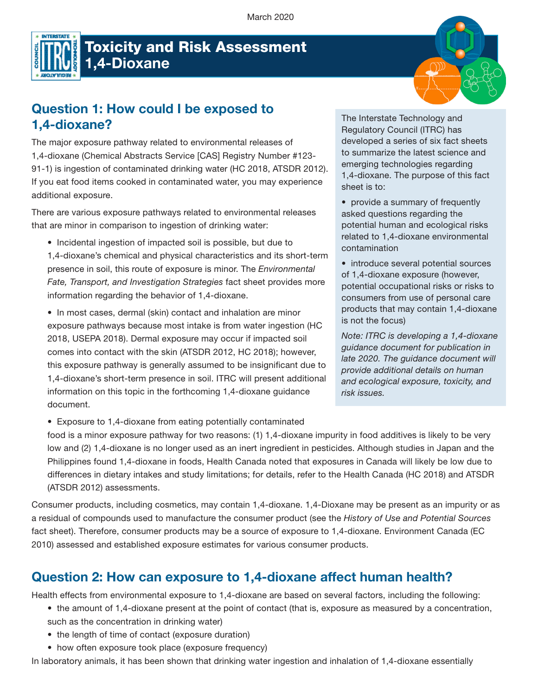

# Toxicity and Risk Assessment 1,4-Dioxane

## Question 1: How could I be exposed to 1,4-dioxane?

The major exposure pathway related to environmental releases of 1,4-dioxane (Chemical Abstracts Service [CAS] Registry Number #123- 91-1) is ingestion of contaminated drinking water (HC 2018, ATSDR 2012). If you eat food items cooked in contaminated water, you may experience additional exposure.

There are various exposure pathways related to environmental releases that are minor in comparison to ingestion of drinking water:

• Incidental ingestion of impacted soil is possible, but due to 1,4-dioxane's chemical and physical characteristics and its short-term presence in soil, this route of exposure is minor. The *Environmental Fate, Transport, and Investigation Strategies* fact sheet provides more information regarding the behavior of 1,4-dioxane.

• In most cases, dermal (skin) contact and inhalation are minor exposure pathways because most intake is from water ingestion (HC 2018, USEPA 2018). Dermal exposure may occur if impacted soil comes into contact with the skin (ATSDR 2012, HC 2018); however, this exposure pathway is generally assumed to be insignificant due to 1,4-dioxane's short-term presence in soil. ITRC will present additional information on this topic in the forthcoming 1,4-dioxane guidance document.

• Exposure to 1,4-dioxane from eating potentially contaminated

The Interstate Technology and Regulatory Council (ITRC) has developed a series of six fact sheets to summarize the latest science and emerging technologies regarding 1,4-dioxane. The purpose of this fact sheet is to:

• provide a summary of frequently asked questions regarding the potential human and ecological risks related to 1,4-dioxane environmental contamination

• introduce several potential sources of 1,4-dioxane exposure (however, potential occupational risks or risks to consumers from use of personal care products that may contain 1,4-dioxane is not the focus)

*Note: ITRC is developing a 1,4-dioxane guidance document for publication in late 2020. The guidance document will provide additional details on human and ecological exposure, toxicity, and risk issues.* 

food is a minor exposure pathway for two reasons: (1) 1,4-dioxane impurity in food additives is likely to be very low and (2) 1,4-dioxane is no longer used as an inert ingredient in pesticides. Although studies in Japan and the Philippines found 1,4-dioxane in foods, Health Canada noted that exposures in Canada will likely be low due to differences in dietary intakes and study limitations; for details, refer to the Health Canada (HC 2018) and ATSDR (ATSDR 2012) assessments.

Consumer products, including cosmetics, may contain 1,4-dioxane. 1,4-Dioxane may be present as an impurity or as a residual of compounds used to manufacture the consumer product (see the *History of Use and Potential Sources*  fact sheet). Therefore, consumer products may be a source of exposure to 1,4-dioxane. Environment Canada (EC 2010) assessed and established exposure estimates for various consumer products.

## Question 2: How can exposure to 1,4-dioxane affect human health?

Health effects from environmental exposure to 1,4-dioxane are based on several factors, including the following:

- the amount of 1,4-dioxane present at the point of contact (that is, exposure as measured by a concentration, such as the concentration in drinking water)
- the length of time of contact (exposure duration)
- how often exposure took place (exposure frequency)

In laboratory animals, it has been shown that drinking water ingestion and inhalation of 1,4-dioxane essentially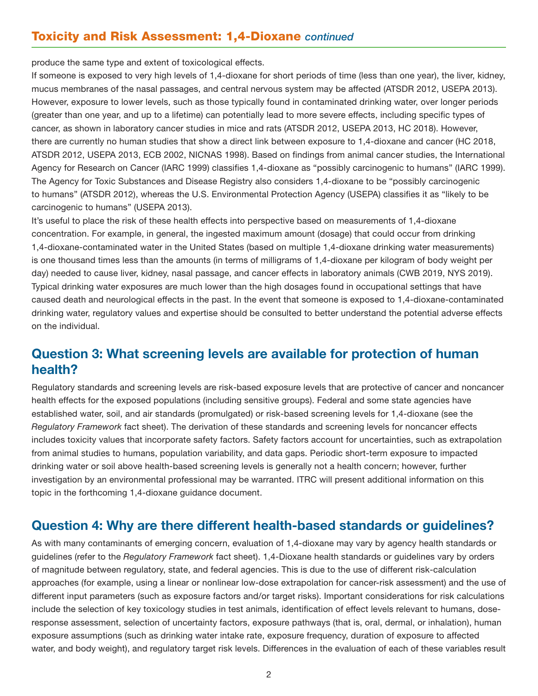produce the same type and extent of toxicological effects.

If someone is exposed to very high levels of 1,4-dioxane for short periods of time (less than one year), the liver, kidney, mucus membranes of the nasal passages, and central nervous system may be affected (ATSDR 2012, USEPA 2013). However, exposure to lower levels, such as those typically found in contaminated drinking water, over longer periods (greater than one year, and up to a lifetime) can potentially lead to more severe effects, including specific types of cancer, as shown in laboratory cancer studies in mice and rats (ATSDR 2012, USEPA 2013, HC 2018). However, there are currently no human studies that show a direct link between exposure to 1,4-dioxane and cancer (HC 2018, ATSDR 2012, USEPA 2013, ECB 2002, NICNAS 1998). Based on findings from animal cancer studies, the International Agency for Research on Cancer (IARC 1999) classifies 1,4-dioxane as "possibly carcinogenic to humans" (IARC 1999). The Agency for Toxic Substances and Disease Registry also considers 1,4-dioxane to be "possibly carcinogenic to humans" (ATSDR 2012), whereas the U.S. Environmental Protection Agency (USEPA) classifies it as "likely to be carcinogenic to humans" (USEPA 2013).

It's useful to place the risk of these health effects into perspective based on measurements of 1,4-dioxane concentration. For example, in general, the ingested maximum amount (dosage) that could occur from drinking 1,4-dioxane-contaminated water in the United States (based on multiple 1,4-dioxane drinking water measurements) is one thousand times less than the amounts (in terms of milligrams of 1,4-dioxane per kilogram of body weight per day) needed to cause liver, kidney, nasal passage, and cancer effects in laboratory animals (CWB 2019, NYS 2019). Typical drinking water exposures are much lower than the high dosages found in occupational settings that have caused death and neurological effects in the past. In the event that someone is exposed to 1,4-dioxane-contaminated drinking water, regulatory values and expertise should be consulted to better understand the potential adverse effects on the individual.

## Question 3: What screening levels are available for protection of human health?

Regulatory standards and screening levels are risk-based exposure levels that are protective of cancer and noncancer health effects for the exposed populations (including sensitive groups). Federal and some state agencies have established water, soil, and air standards (promulgated) or risk-based screening levels for 1,4-dioxane (see the *Regulatory Framework* fact sheet). The derivation of these standards and screening levels for noncancer effects includes toxicity values that incorporate safety factors. Safety factors account for uncertainties, such as extrapolation from animal studies to humans, population variability, and data gaps. Periodic short-term exposure to impacted drinking water or soil above health-based screening levels is generally not a health concern; however, further investigation by an environmental professional may be warranted. ITRC will present additional information on this topic in the forthcoming 1,4-dioxane guidance document.

### Question 4: Why are there different health-based standards or guidelines?

As with many contaminants of emerging concern, evaluation of 1,4-dioxane may vary by agency health standards or guidelines (refer to the *Regulatory Framework* fact sheet). 1,4-Dioxane health standards or guidelines vary by orders of magnitude between regulatory, state, and federal agencies. This is due to the use of different risk-calculation approaches (for example, using a linear or nonlinear low-dose extrapolation for cancer-risk assessment) and the use of different input parameters (such as exposure factors and/or target risks). Important considerations for risk calculations include the selection of key toxicology studies in test animals, identification of effect levels relevant to humans, doseresponse assessment, selection of uncertainty factors, exposure pathways (that is, oral, dermal, or inhalation), human exposure assumptions (such as drinking water intake rate, exposure frequency, duration of exposure to affected water, and body weight), and regulatory target risk levels. Differences in the evaluation of each of these variables result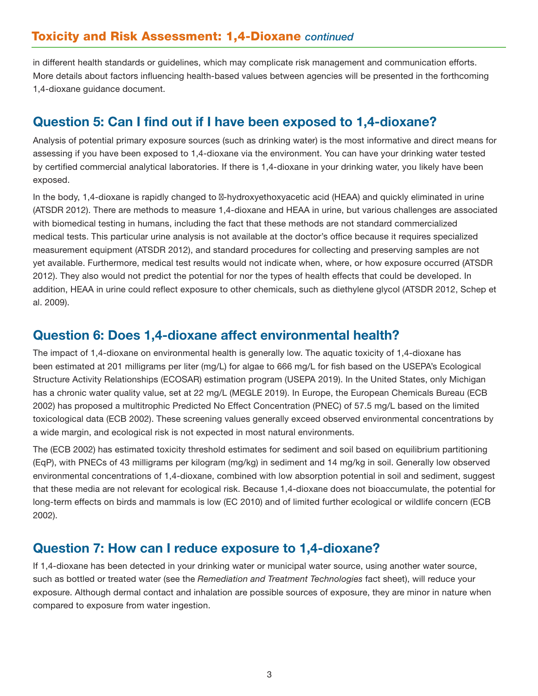in different health standards or guidelines, which may complicate risk management and communication efforts. More details about factors influencing health-based values between agencies will be presented in the forthcoming 1,4-dioxane guidance document.

## Question 5: Can I find out if I have been exposed to 1,4-dioxane?

Analysis of potential primary exposure sources (such as drinking water) is the most informative and direct means for assessing if you have been exposed to 1,4-dioxane via the environment. You can have your drinking water tested by certified commercial analytical laboratories. If there is 1,4-dioxane in your drinking water, you likely have been exposed.

In the body, 1,4-dioxane is rapidly changed to -hydroxyethoxyacetic acid (HEAA) and quickly eliminated in urine (ATSDR 2012). There are methods to measure 1,4-dioxane and HEAA in urine, but various challenges are associated with biomedical testing in humans, including the fact that these methods are not standard commercialized medical tests. This particular urine analysis is not available at the doctor's office because it requires specialized measurement equipment (ATSDR 2012), and standard procedures for collecting and preserving samples are not yet available. Furthermore, medical test results would not indicate when, where, or how exposure occurred (ATSDR 2012). They also would not predict the potential for nor the types of health effects that could be developed. In addition, HEAA in urine could reflect exposure to other chemicals, such as diethylene glycol (ATSDR 2012, Schep et al. 2009).

## Question 6: Does 1,4-dioxane affect environmental health?

The impact of 1,4-dioxane on environmental health is generally low. The aquatic toxicity of 1,4-dioxane has been estimated at 201 milligrams per liter (mg/L) for algae to 666 mg/L for fish based on the USEPA's Ecological Structure Activity Relationships (ECOSAR) estimation program (USEPA 2019). In the United States, only Michigan has a chronic water quality value, set at 22 mg/L (MEGLE 2019). In Europe, the European Chemicals Bureau (ECB 2002) has proposed a multitrophic Predicted No Effect Concentration (PNEC) of 57.5 mg/L based on the limited toxicological data (ECB 2002). These screening values generally exceed observed environmental concentrations by a wide margin, and ecological risk is not expected in most natural environments.

The (ECB 2002) has estimated toxicity threshold estimates for sediment and soil based on equilibrium partitioning (EqP), with PNECs of 43 milligrams per kilogram (mg/kg) in sediment and 14 mg/kg in soil. Generally low observed environmental concentrations of 1,4-dioxane, combined with low absorption potential in soil and sediment, suggest that these media are not relevant for ecological risk. Because 1,4-dioxane does not bioaccumulate, the potential for long-term effects on birds and mammals is low (EC 2010) and of limited further ecological or wildlife concern (ECB 2002).

## Question 7: How can I reduce exposure to 1,4-dioxane?

If 1,4-dioxane has been detected in your drinking water or municipal water source, using another water source, such as bottled or treated water (see the *Remediation and Treatment Technologies* fact sheet), will reduce your exposure. Although dermal contact and inhalation are possible sources of exposure, they are minor in nature when compared to exposure from water ingestion.